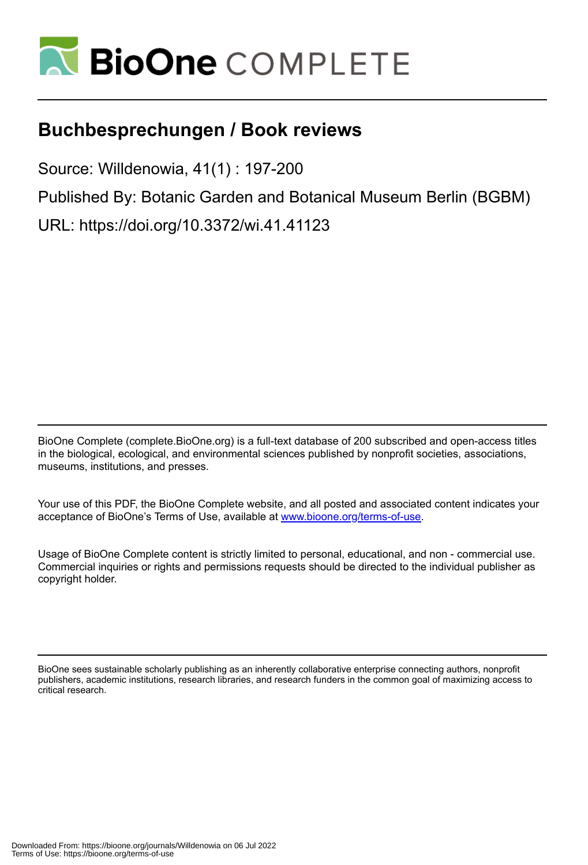

## **Buchbesprechungen / Book reviews**

Source: Willdenowia, 41(1) : 197-200

Published By: Botanic Garden and Botanical Museum Berlin (BGBM)

URL: https://doi.org/10.3372/wi.41.41123

BioOne Complete (complete.BioOne.org) is a full-text database of 200 subscribed and open-access titles in the biological, ecological, and environmental sciences published by nonprofit societies, associations, museums, institutions, and presses.

Your use of this PDF, the BioOne Complete website, and all posted and associated content indicates your acceptance of BioOne's Terms of Use, available at www.bioone.org/terms-of-use.

Usage of BioOne Complete content is strictly limited to personal, educational, and non - commercial use. Commercial inquiries or rights and permissions requests should be directed to the individual publisher as copyright holder.

BioOne sees sustainable scholarly publishing as an inherently collaborative enterprise connecting authors, nonprofit publishers, academic institutions, research libraries, and research funders in the common goal of maximizing access to critical research.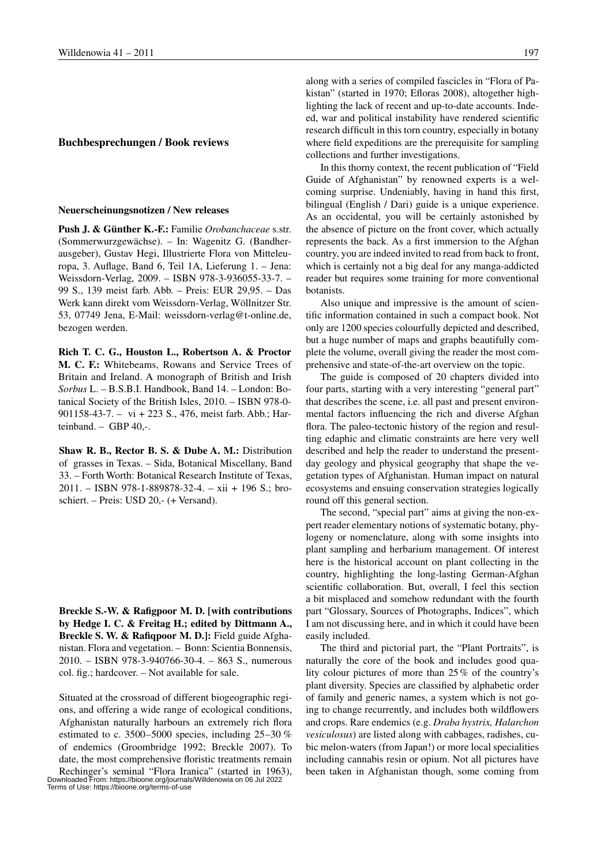## **Buchbesprechungen / Book reviews**

## **Neuerscheinungsnotizen / New releases**

**Push J. & Günther K.-F.:** Familie *Orobanchaceae* s.str. (Sommerwurzgewächse). – In: Wagenitz G. (Bandherausgeber), Gustav Hegi, Illustrierte Flora von Mitteleuropa, 3. Auflage, Band 6, Teil 1A, Lieferung 1. – Jena: Weissdorn-Verlag, 2009. – ISBN 978-3-936055-33-7. – 99 S., 139 meist farb. Abb. – Preis: EUR 29,95. – Das Werk kann direkt vom Weissdorn-Verlag, Wöllnitzer Str. 53, 07749 Jena, E-Mail: weissdorn-verlag@t-online.de, bezogen werden.

**Rich T. C. G., Houston L., Robertson A. & Proctor M. C. F.:** Whitebeams, Rowans and Service Trees of Britain and Ireland. A monograph of British and Irish *Sorbus* L. – B.S.B.I. Handbook, Band 14. – London: Botanical Society of the British Isles, 2010. – ISBN 978-0- 901158-43-7. – vi + 223 S., 476, meist farb. Abb.; Harteinband. – GBP 40,-.

**Shaw R. B., Rector B. S. & Dube A. M.:** Distribution of grasses in Texas. – Sida, Botanical Miscellany, Band 33. – Forth Worth: Botanical Research Institute of Texas, 2011. – ISBN 978-1-889878-32-4. – xii + 196 S.; broschiert. – Preis: USD 20,- (+ Versand).

**Breckle S.-W. & Rafigpoor M. D. [with contributions by Hedge I. C. & Freitag H.; edited by Dittmann A., Breckle S. W. & Rafiqpoor M. D.]:** Field guide Afghanistan. Flora and vegetation. – Bonn: Scientia Bonnensis, 2010. – ISBN 978-3-940766-30-4. – 863 S., numerous col. fig.; hardcover. – Not available for sale.

Situated at the crossroad of different biogeographic regions, and offering a wide range of ecological conditions, Afghanistan naturally harbours an extremely rich flora estimated to c. 3500–5000 species, including  $25-30\%$ of endemics (Groombridge 1992; Breckle 2007). To date, the most comprehensive floristic treatments remain Rechinger's seminal "Flora Iranica" (started in 1963), Downloaded From: https://bioone.org/journals/Willdenowia on 06 Jul 2022 Terms of Use: https://bioone.org/terms-of-use along with a series of compiled fascicles in "Flora of Pakistan" (started in 1970; Efloras 2008), altogether highlighting the lack of recent and up-to-date accounts. Indeed, war and political instability have rendered scientific research difficult in this torn country, especially in botany where field expeditions are the prerequisite for sampling collections and further investigations.

In this thorny context, the recent publication of "Field Guide of Afghanistan" by renowned experts is a welcoming surprise. Undeniably, having in hand this first, bilingual (English / Dari) guide is a unique experience. As an occidental, you will be certainly astonished by the absence of picture on the front cover, which actually represents the back. As a first immersion to the Afghan country, you are indeed invited to read from back to front, which is certainly not a big deal for any manga-addicted reader but requires some training for more conventional botanists.

Also unique and impressive is the amount of scientific information contained in such a compact book. Not only are 1200 species colourfully depicted and described, but a huge number of maps and graphs beautifully complete the volume, overall giving the reader the most comprehensive and state-of-the-art overview on the topic.

The guide is composed of 20 chapters divided into four parts, starting with a very interesting "general part" that describes the scene, i.e. all past and present environmental factors influencing the rich and diverse Afghan flora. The paleo-tectonic history of the region and resulting edaphic and climatic constraints are here very well described and help the reader to understand the presentday geology and physical geography that shape the vegetation types of Afghanistan. Human impact on natural ecosystems and ensuing conservation strategies logically round off this general section.

The second, "special part" aims at giving the non-expert reader elementary notions of systematic botany, phylogeny or nomenclature, along with some insights into plant sampling and herbarium management. Of interest here is the historical account on plant collecting in the country, highlighting the long-lasting German-Afghan scientific collaboration. But, overall, I feel this section a bit misplaced and somehow redundant with the fourth part "Glossary, Sources of Photographs, Indices", which I am not discussing here, and in which it could have been easily included.

The third and pictorial part, the "Plant Portraits", is naturally the core of the book and includes good quality colour pictures of more than 25% of the country's plant diversity. Species are classified by alphabetic order of family and generic names, a system which is not going to change recurrently, and includes both wildflowers and crops. Rare endemics (e.g. *Draba hystrix, Halarchon vesiculosus*) are listed along with cabbages, radishes, cubic melon-waters (from Japan!) or more local specialities including cannabis resin or opium. Not all pictures have been taken in Afghanistan though, some coming from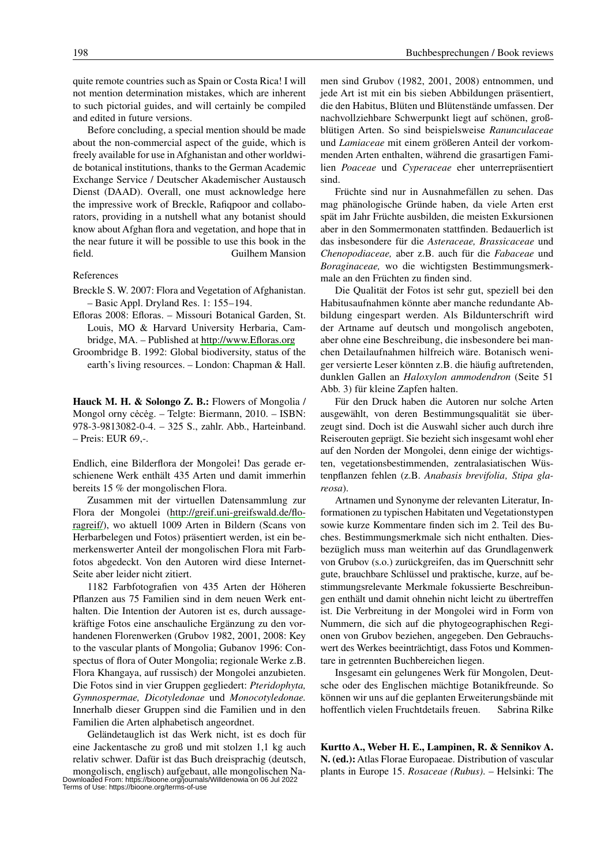quite remote countries such as Spain or Costa Rica! I will not mention determination mistakes, which are inherent to such pictorial guides, and will certainly be compiled and edited in future versions.

Before concluding, a special mention should be made about the non-commercial aspect of the guide, which is freely available for use in Afghanistan and other worldwide botanical institutions, thanks to the German Academic Exchange Service / Deutscher Akademischer Austausch Dienst (DAAD). Overall, one must acknowledge here the impressive work of Breckle, Rafiqpoor and collaborators, providing in a nutshell what any botanist should know about Afghan flora and vegetation, and hope that in the near future it will be possible to use this book in the field. Guilhem Mansion

## References

- Breckle S. W. 2007: Flora and Vegetation of Afghanistan. – Basic Appl. Dryland Res. 1: 155–194.
- Efloras 2008: Efloras. Missouri Botanical Garden, St. Louis, MO & Harvard University Herbaria, Cambridge, MA. – Published at<http://www.Efloras.org>
- Groombridge B. 1992: Global biodiversity, status of the earth's living resources. – London: Chapman & Hall.

**Hauck M. H. & Solongo Z. B.:** Flowers of Mongolia / Mongol orny cėcėg. – Telgte: Biermann, 2010. – ISBN: 978-3-9813082-0-4. – 325 S., zahlr. Abb., Harteinband. – Preis: EUR 69,-.

Endlich, eine Bilderflora der Mongolei! Das gerade erschienene Werk enthält 435 Arten und damit immerhin bereits 15 % der mongolischen Flora.

Zusammen mit der virtuellen Datensammlung zur Flora der Mongolei [\(http://greif.uni-greifswald.de/flo](http://greif.uni-greifswald.de/floragreif/)[ragreif/](http://greif.uni-greifswald.de/floragreif/)), wo aktuell 1009 Arten in Bildern (Scans von Herbarbelegen und Fotos) präsentiert werden, ist ein bemerkenswerter Anteil der mongolischen Flora mit Farbfotos abgedeckt. Von den Autoren wird diese Internet-Seite aber leider nicht zitiert.

1182 Farbfotografien von 435 Arten der Höheren Pflanzen aus 75 Familien sind in dem neuen Werk enthalten. Die Intention der Autoren ist es, durch aussagekräftige Fotos eine anschauliche Ergänzung zu den vorhandenen Florenwerken (Grubov 1982, 2001, 2008: Key to the vascular plants of Mongolia; Gubanov 1996: Conspectus of flora of Outer Mongolia; regionale Werke z.B. Flora Khangaya, auf russisch) der Mongolei anzubieten. Die Fotos sind in vier Gruppen gegliedert: *Pteridophyta, Gymnospermae, Dicotyledonae* und *Monocotyledonae.* Innerhalb dieser Gruppen sind die Familien und in den Familien die Arten alphabetisch angeordnet.

Geländetauglich ist das Werk nicht, ist es doch für eine Jackentasche zu groß und mit stolzen 1,1 kg auch relativ schwer. Dafür ist das Buch dreisprachig (deutsch, men sind Grubov (1982, 2001, 2008) entnommen, und jede Art ist mit ein bis sieben Abbildungen präsentiert, die den Habitus, Blüten und Blütenstände umfassen. Der nachvollziehbare Schwerpunkt liegt auf schönen, großblütigen Arten. So sind beispielsweise *Ranunculaceae* und *Lamiaceae* mit einem größeren Anteil der vorkommenden Arten enthalten, während die grasartigen Familien *Poaceae* und *Cyperaceae* eher unterrepräsentiert sind.

Früchte sind nur in Ausnahmefällen zu sehen. Das mag phänologische Gründe haben, da viele Arten erst spät im Jahr Früchte ausbilden, die meisten Exkursionen aber in den Sommermonaten stattfinden. Bedauerlich ist das insbesondere für die *Asteraceae, Brassicaceae* und *Chenopodiaceae,* aber z.B. auch für die *Fabaceae* und *Boraginaceae,* wo die wichtigsten Bestimmungsmerkmale an den Früchten zu finden sind.

Die Qualität der Fotos ist sehr gut, speziell bei den Habitusaufnahmen könnte aber manche redundante Abbildung eingespart werden. Als Bildunterschrift wird der Artname auf deutsch und mongolisch angeboten, aber ohne eine Beschreibung, die insbesondere bei manchen Detailaufnahmen hilfreich wäre. Botanisch weniger versierte Leser könnten z.B. die häufig auftretenden, dunklen Gallen an *Haloxylon ammodendron* (Seite 51 Abb. 3) für kleine Zapfen halten.

Für den Druck haben die Autoren nur solche Arten ausgewählt, von deren Bestimmungsqualität sie überzeugt sind. Doch ist die Auswahl sicher auch durch ihre Reiserouten geprägt. Sie bezieht sich insgesamt wohl eher auf den Norden der Mongolei, denn einige der wichtigsten, vegetationsbestimmenden, zentralasiatischen Wüstenpflanzen fehlen (z.B. Anabasis brevifolia, Stipa gla*reosa*).

Artnamen und Synonyme der relevanten Literatur, Informationen zu typischen Habitaten und Vegetationstypen sowie kurze Kommentare finden sich im 2. Teil des Buches. Bestimmungsmerkmale sich nicht enthalten. Diesbezüglich muss man weiterhin auf das Grundlagenwerk von Grubov (s.o.) zurückgreifen, das im Querschnitt sehr gute, brauchbare Schlüssel und praktische, kurze, auf bestimmungsrelevante Merkmale fokussierte Beschreibungen enthält und damit ohnehin nicht leicht zu übertreffen ist. Die Verbreitung in der Mongolei wird in Form von Nummern, die sich auf die phytogeographischen Regionen von Grubov beziehen, angegeben. Den Gebrauchswert des Werkes beeinträchtigt, dass Fotos und Kommentare in getrennten Buchbereichen liegen.

Insgesamt ein gelungenes Werk für Mongolen, Deutsche oder des Englischen mächtige Botanikfreunde. So können wir uns auf die geplanten Erweiterungsbände mit hoffentlich vielen Fruchtdetails freuen. Sabrina Rilke

**Kurtto A., Weber H. E., Lampinen, R. & Sennikov A. N. (ed.):** Atlas Florae Europaeae. Distribution of vascular plants in Europe 15. *Rosaceae (Rubus)*. – Helsinki: The

mongolisch, englisch) aufgebaut, alle mongolischen Na-Downloaded From: https://bioone.org/journals/Willdenowia on 06 Jul 2022 Terms of Use: https://bioone.org/terms-of-use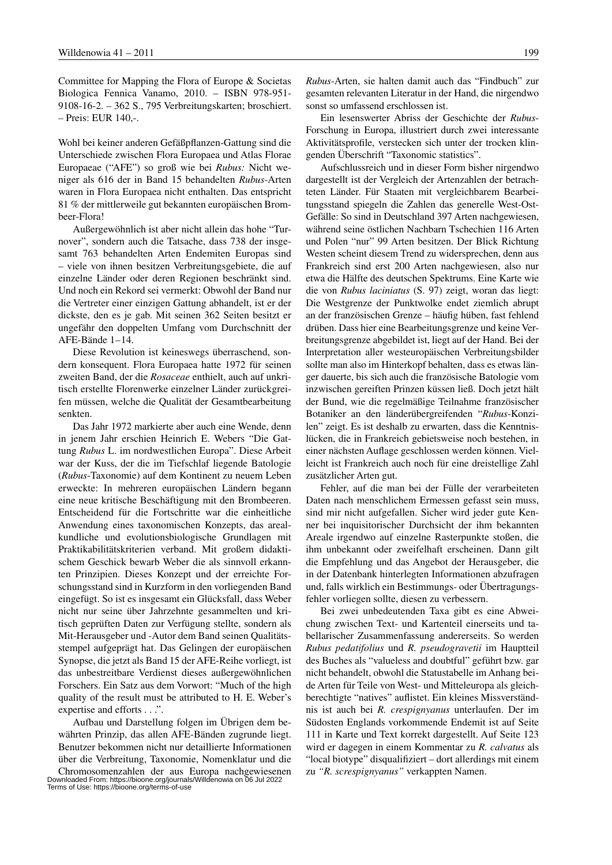Committee for Mapping the Flora of Europe & Societas Biologica Fennica Vanamo, 2010. – ISBN 978-951- 9108-16-2. – 362 S., 795 Verbreitungskarten; broschiert. – Preis: EUR 140,-.

Wohl bei keiner anderen Gefäßpflanzen-Gattung sind die Unterschiede zwischen Flora Europaea und Atlas Florae Europaeae ("AFE") so groß wie bei *Rubus:* Nicht weniger als 616 der in Band 15 behandelten *Rubus*-Arten waren in Flora Europaea nicht enthalten. Das entspricht 81 % der mittlerweile gut bekannten europäischen Brombeer-Flora!

Außergewöhnlich ist aber nicht allein das hohe "Turnover", sondern auch die Tatsache, dass 738 der insgesamt 763 behandelten Arten Endemiten Europas sind – viele von ihnen besitzen Verbreitungsgebiete, die auf einzelne Länder oder deren Regionen beschränkt sind. Und noch ein Rekord sei vermerkt: Obwohl der Band nur die Vertreter einer einzigen Gattung abhandelt, ist er der dickste, den es je gab. Mit seinen 362 Seiten besitzt er ungefähr den doppelten Umfang vom Durchschnitt der AFE-Bände 1–14.

Diese Revolution ist keineswegs überraschend, sondern konsequent. Flora Europaea hatte 1972 für seinen zweiten Band, der die *Rosaceae* enthielt, auch auf unkritisch erstellte Florenwerke einzelner Länder zurückgreifen müssen, welche die Qualität der Gesamtbearbeitung senkten.

Das Jahr 1972 markierte aber auch eine Wende, denn in jenem Jahr erschien Heinrich E. Webers "Die Gattung *Rubus* L. im nordwestlichen Europa". Diese Arbeit war der Kuss, der die im Tiefschlaf liegende Batologie (*Rubus*-Taxonomie) auf dem Kontinent zu neuem Leben erweckte: In mehreren europäischen Ländern begann eine neue kritische Beschäftigung mit den Brombeeren. Entscheidend für die Fortschritte war die einheitliche Anwendung eines taxonomischen Konzepts, das arealkundliche und evolutionsbiologische Grundlagen mit Praktikabilitätskriterien verband. Mit großem didaktischem Geschick bewarb Weber die als sinnvoll erkannten Prinzipien. Dieses Konzept und der erreichte Forschungsstand sind in Kurzform in den vorliegenden Band eingefügt. So ist es insgesamt ein Glücksfall, dass Weber nicht nur seine über Jahrzehnte gesammelten und kritisch geprüften Daten zur Verfügung stellte, sondern als Mit-Herausgeber und -Autor dem Band seinen Qualitätsstempel aufgeprägt hat. Das Gelingen der europäischen Synopse, die jetzt als Band 15 der AFE-Reihe vorliegt, ist das unbestreitbare Verdienst dieses außergewöhnlichen Forschers. Ein Satz aus dem Vorwort: "Much of the high quality of the result must be attributed to H. E. Weber's expertise and efforts . . .".

Aufbau und Darstellung folgen im Übrigen dem bewährten Prinzip, das allen AFE-Bänden zugrunde liegt. Benutzer bekommen nicht nur detaillierte Informationen über die Verbreitung, Taxonomie, Nomenklatur und die *Rubus*-Arten, sie halten damit auch das "Findbuch" zur gesamten relevanten Literatur in der Hand, die nirgendwo sonst so umfassend erschlossen ist.

Ein lesenswerter Abriss der Geschichte der *Rubus*-Forschung in Europa, illustriert durch zwei interessante Aktivitätsprofile, verstecken sich unter der trocken klingenden Überschrift "Taxonomic statistics".

Aufschlussreich und in dieser Form bisher nirgendwo dargestellt ist der Vergleich der Artenzahlen der betrachteten Länder. Für Staaten mit vergleichbarem Bearbeitungsstand spiegeln die Zahlen das generelle West-Ost-Gefälle: So sind in Deutschland 397 Arten nachgewiesen, während seine östlichen Nachbarn Tschechien 116 Arten und Polen "nur" 99 Arten besitzen. Der Blick Richtung Westen scheint diesem Trend zu widersprechen, denn aus Frankreich sind erst 200 Arten nachgewiesen, also nur etwa die Hälfte des deutschen Spektrums. Eine Karte wie die von *Rubus laciniatus* (S. 97) zeigt, woran das liegt: Die Westgrenze der Punktwolke endet ziemlich abrupt an der französischen Grenze – häufig hüben, fast fehlend drüben. Dass hier eine Bearbeitungsgrenze und keine Verbreitungsgrenze abgebildet ist, liegt auf der Hand. Bei der Interpretation aller westeuropäischen Verbreitungsbilder sollte man also im Hinterkopf behalten, dass es etwas länger dauerte, bis sich auch die französische Batologie vom inzwischen gereiften Prinzen küssen ließ. Doch jetzt hält der Bund, wie die regelmäßige Teilnahme französischer Botaniker an den länderübergreifenden "*Rubus*-Konzilen" zeigt. Es ist deshalb zu erwarten, dass die Kenntnislücken, die in Frankreich gebietsweise noch bestehen, in einer nächsten Auflage geschlossen werden können. Vielleicht ist Frankreich auch noch für eine dreistellige Zahl zusätzlicher Arten gut.

Fehler, auf die man bei der Fülle der verarbeiteten Daten nach menschlichem Ermessen gefasst sein muss, sind mir nicht aufgefallen. Sicher wird jeder gute Kenner bei inquisitorischer Durchsicht der ihm bekannten Areale irgendwo auf einzelne Rasterpunkte stoßen, die ihm unbekannt oder zweifelhaft erscheinen. Dann gilt die Empfehlung und das Angebot der Herausgeber, die in der Datenbank hinterlegten Informationen abzufragen und, falls wirklich ein Bestimmungs- oder Übertragungsfehler vorliegen sollte, diesen zu verbessern.

Bei zwei unbedeutenden Taxa gibt es eine Abweichung zwischen Text- und Kartenteil einerseits und tabellarischer Zusammenfassung andererseits. So werden *Rubus pedatifolius* und *R. pseudogravetii* im Hauptteil des Buches als "valueless and doubtful" geführt bzw. gar nicht behandelt, obwohl die Statustabelle im Anhang beide Arten für Teile von West- und Mitteleuropa als gleichberechtigte "natives" auflistet. Ein kleines Missverständnis ist auch bei *R. crespignyanus* unterlaufen. Der im Südosten Englands vorkommende Endemit ist auf Seite 111 in Karte und Text korrekt dargestellt. Auf Seite 123 wird er dagegen in einem Kommentar zu *R. calvatus* als "local biotype" disqualifiziert – dort allerdings mit einem zu *"R. screspignyanus"* verkappten Namen.

Chromosomenzahlen der aus Europa nachgewiesenen Downloaded From: https://bioone.org/journals/Willdenowia on 06 Jul 2022 Terms of Use: https://bioone.org/terms-of-use